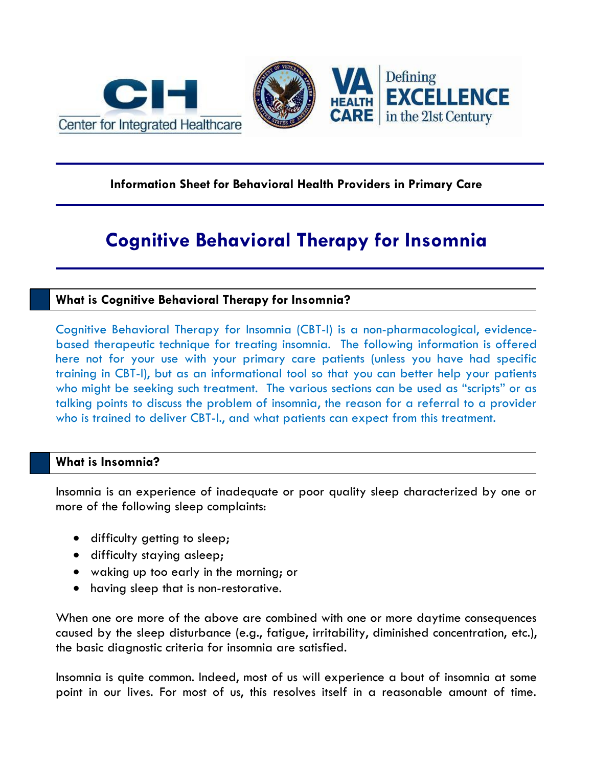



# **Information Sheet for Behavioral Health Providers in Primary Care**

# **Cognitive Behavioral Therapy for Insomnia**

# **What is Cognitive Behavioral Therapy for Insomnia?**

Cognitive Behavioral Therapy for Insomnia (CBT-I) is a non-pharmacological, evidencebased therapeutic technique for treating insomnia. The following information is offered here not for your use with your primary care patients (unless you have had specific training in CBT-I), but as an informational tool so that you can better help your patients who might be seeking such treatment. The various sections can be used as "scripts" or as talking points to discuss the problem of insomnia, the reason for a referral to a provider who is trained to deliver CBT-I., and what patients can expect from this treatment.

# **What is Insomnia?**

Insomnia is an experience of inadequate or poor quality sleep characterized by one or more of the following sleep complaints:

- difficulty getting to sleep;
- difficulty staying asleep;
- waking up too early in the morning; or
- having sleep that is non-restorative.

When one ore more of the above are combined with one or more daytime consequences caused by the sleep disturbance (e.g., fatigue, irritability, diminished concentration, etc.), the basic diagnostic criteria for insomnia are satisfied.

Insomnia is quite common. Indeed, most of us will experience a bout of insomnia at some point in our lives. For most of us, this resolves itself in a reasonable amount of time.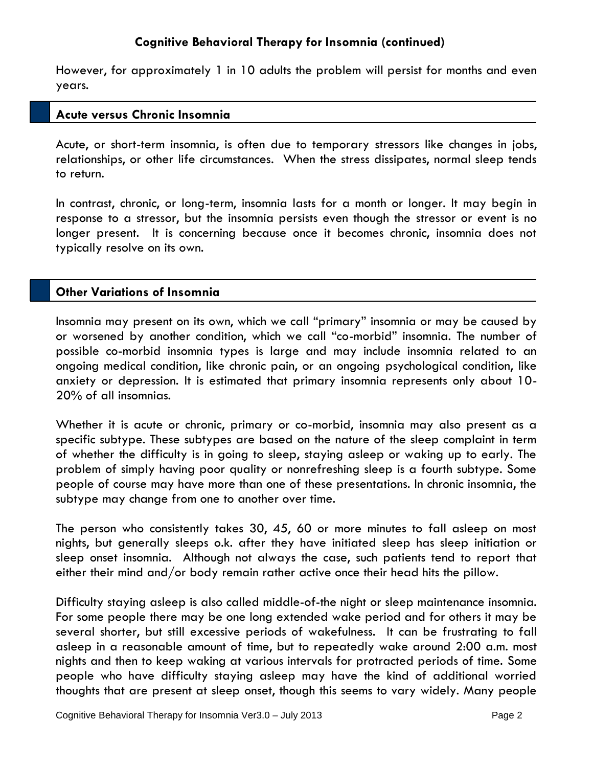However, for approximately 1 in 10 adults the problem will persist for months and even years.

## **Acute versus Chronic Insomnia**

Acute, or short-term insomnia, is often due to temporary stressors like changes in jobs, relationships, or other life circumstances. When the stress dissipates, normal sleep tends to return.

In contrast, chronic, or long-term, insomnia lasts for a month or longer. It may begin in response to a stressor, but the insomnia persists even though the stressor or event is no longer present. It is concerning because once it becomes chronic, insomnia does not typically resolve on its own.

## **Other Variations of Insomnia**

Insomnia may present on its own, which we call "primary" insomnia or may be caused by or worsened by another condition, which we call "co-morbid" insomnia. The number of possible co-morbid insomnia types is large and may include insomnia related to an ongoing medical condition, like chronic pain, or an ongoing psychological condition, like anxiety or depression. It is estimated that primary insomnia represents only about 10- 20% of all insomnias.

Whether it is acute or chronic, primary or co-morbid, insomnia may also present as a specific subtype. These subtypes are based on the nature of the sleep complaint in term of whether the difficulty is in going to sleep, staying asleep or waking up to early. The problem of simply having poor quality or nonrefreshing sleep is a fourth subtype. Some people of course may have more than one of these presentations. In chronic insomnia, the subtype may change from one to another over time.

The person who consistently takes 30, 45, 60 or more minutes to fall asleep on most nights, but generally sleeps o.k. after they have initiated sleep has sleep initiation or sleep onset insomnia. Although not always the case, such patients tend to report that either their mind and/or body remain rather active once their head hits the pillow.

Difficulty staying asleep is also called middle-of-the night or sleep maintenance insomnia. For some people there may be one long extended wake period and for others it may be several shorter, but still excessive periods of wakefulness. It can be frustrating to fall asleep in a reasonable amount of time, but to repeatedly wake around 2:00 a.m. most nights and then to keep waking at various intervals for protracted periods of time. Some people who have difficulty staying asleep may have the kind of additional worried thoughts that are present at sleep onset, though this seems to vary widely. Many people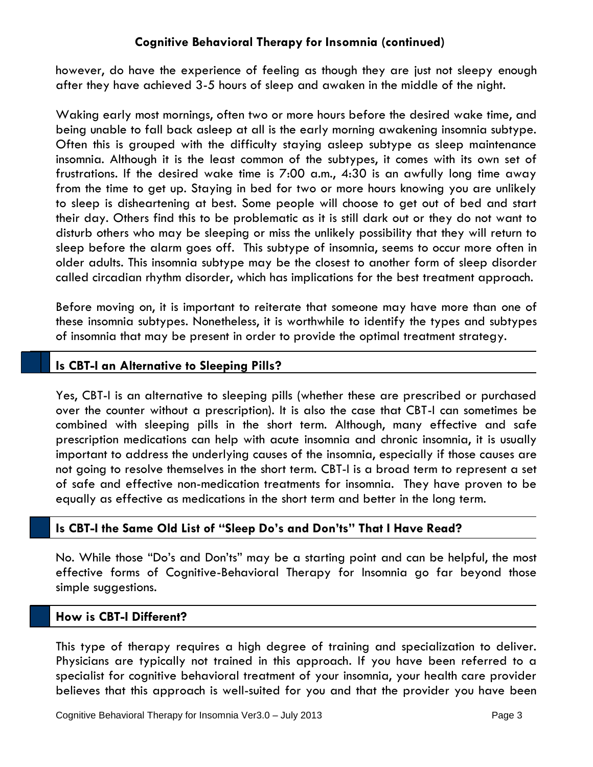however, do have the experience of feeling as though they are just not sleepy enough after they have achieved 3-5 hours of sleep and awaken in the middle of the night.

Waking early most mornings, often two or more hours before the desired wake time, and being unable to fall back asleep at all is the early morning awakening insomnia subtype. Often this is grouped with the difficulty staying asleep subtype as sleep maintenance insomnia. Although it is the least common of the subtypes, it comes with its own set of frustrations. If the desired wake time is 7:00 a.m., 4:30 is an awfully long time away from the time to get up. Staying in bed for two or more hours knowing you are unlikely to sleep is disheartening at best. Some people will choose to get out of bed and start their day. Others find this to be problematic as it is still dark out or they do not want to disturb others who may be sleeping or miss the unlikely possibility that they will return to sleep before the alarm goes off. This subtype of insomnia, seems to occur more often in older adults. This insomnia subtype may be the closest to another form of sleep disorder called circadian rhythm disorder, which has implications for the best treatment approach.

Before moving on, it is important to reiterate that someone may have more than one of these insomnia subtypes. Nonetheless, it is worthwhile to identify the types and subtypes of insomnia that may be present in order to provide the optimal treatment strategy.

## **Is CBT-I an Alternative to Sleeping Pills?**

Yes, CBT-I is an alternative to sleeping pills (whether these are prescribed or purchased over the counter without a prescription). It is also the case that CBT-I can sometimes be combined with sleeping pills in the short term. Although, many effective and safe prescription medications can help with acute insomnia and chronic insomnia, it is usually important to address the underlying causes of the insomnia, especially if those causes are not going to resolve themselves in the short term. CBT-I is a broad term to represent a set of safe and effective non-medication treatments for insomnia. They have proven to be equally as effective as medications in the short term and better in the long term.

# **Is CBT-I the Same Old List of "Sleep Do's and Don'ts" That I Have Read?**

No. While those "Do's and Don'ts" may be a starting point and can be helpful, the most effective forms of Cognitive-Behavioral Therapy for Insomnia go far beyond those simple suggestions.

#### **How is CBT-I Different?**

This type of therapy requires a high degree of training and specialization to deliver. Physicians are typically not trained in this approach. If you have been referred to a specialist for cognitive behavioral treatment of your insomnia, your health care provider believes that this approach is well-suited for you and that the provider you have been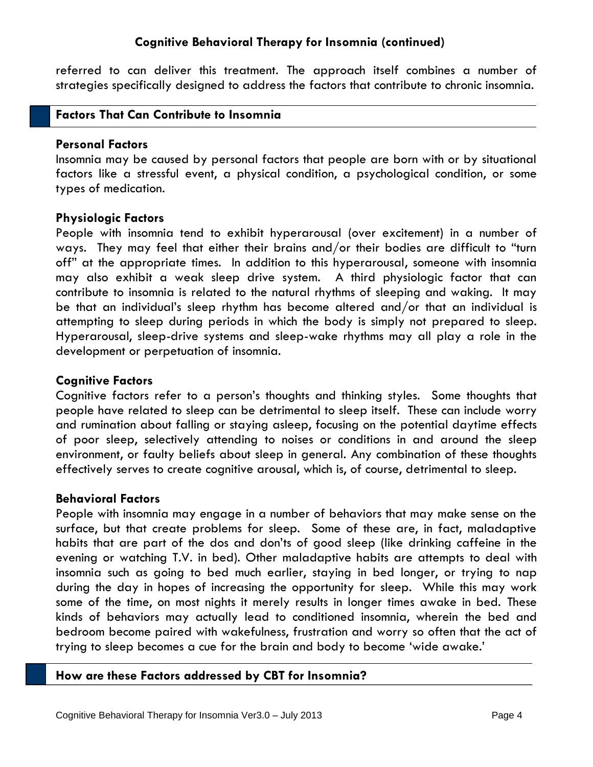referred to can deliver this treatment. The approach itself combines a number of strategies specifically designed to address the factors that contribute to chronic insomnia.

#### **Factors That Can Contribute to Insomnia**

#### **Personal Factors**

Insomnia may be caused by personal factors that people are born with or by situational factors like a stressful event, a physical condition, a psychological condition, or some types of medication.

## **Physiologic Factors**

People with insomnia tend to exhibit hyperarousal (over excitement) in a number of ways. They may feel that either their brains and/or their bodies are difficult to "turn off" at the appropriate times. In addition to this hyperarousal, someone with insomnia may also exhibit a weak sleep drive system. A third physiologic factor that can contribute to insomnia is related to the natural rhythms of sleeping and waking. It may be that an individual's sleep rhythm has become altered and/or that an individual is attempting to sleep during periods in which the body is simply not prepared to sleep. Hyperarousal, sleep-drive systems and sleep-wake rhythms may all play a role in the development or perpetuation of insomnia.

## **Cognitive Factors**

Cognitive factors refer to a person's thoughts and thinking styles. Some thoughts that people have related to sleep can be detrimental to sleep itself. These can include worry and rumination about falling or staying asleep, focusing on the potential daytime effects of poor sleep, selectively attending to noises or conditions in and around the sleep environment, or faulty beliefs about sleep in general. Any combination of these thoughts effectively serves to create cognitive arousal, which is, of course, detrimental to sleep.

#### **Behavioral Factors**

People with insomnia may engage in a number of behaviors that may make sense on the surface, but that create problems for sleep. Some of these are, in fact, maladaptive habits that are part of the dos and don'ts of good sleep (like drinking caffeine in the evening or watching T.V. in bed). Other maladaptive habits are attempts to deal with insomnia such as going to bed much earlier, staying in bed longer, or trying to nap during the day in hopes of increasing the opportunity for sleep. While this may work some of the time, on most nights it merely results in longer times awake in bed. These kinds of behaviors may actually lead to conditioned insomnia, wherein the bed and bedroom become paired with wakefulness, frustration and worry so often that the act of trying to sleep becomes a cue for the brain and body to become 'wide awake.'

## **How are these Factors addressed by CBT for Insomnia?**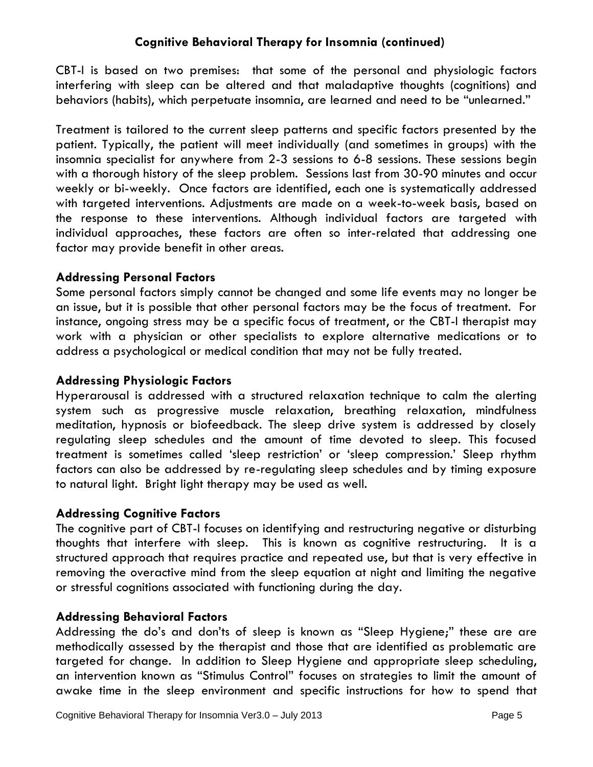CBT-I is based on two premises: that some of the personal and physiologic factors interfering with sleep can be altered and that maladaptive thoughts (cognitions) and behaviors (habits), which perpetuate insomnia, are learned and need to be "unlearned."

Treatment is tailored to the current sleep patterns and specific factors presented by the patient. Typically, the patient will meet individually (and sometimes in groups) with the insomnia specialist for anywhere from 2-3 sessions to 6-8 sessions. These sessions begin with a thorough history of the sleep problem. Sessions last from 30-90 minutes and occur weekly or bi-weekly. Once factors are identified, each one is systematically addressed with targeted interventions. Adjustments are made on a week-to-week basis, based on the response to these interventions. Although individual factors are targeted with individual approaches, these factors are often so inter-related that addressing one factor may provide benefit in other areas.

## **Addressing Personal Factors**

Some personal factors simply cannot be changed and some life events may no longer be an issue, but it is possible that other personal factors may be the focus of treatment. For instance, ongoing stress may be a specific focus of treatment, or the CBT-I therapist may work with a physician or other specialists to explore alternative medications or to address a psychological or medical condition that may not be fully treated.

# **Addressing Physiologic Factors**

Hyperarousal is addressed with a structured relaxation technique to calm the alerting system such as progressive muscle relaxation, breathing relaxation, mindfulness meditation, hypnosis or biofeedback. The sleep drive system is addressed by closely regulating sleep schedules and the amount of time devoted to sleep. This focused treatment is sometimes called 'sleep restriction' or 'sleep compression.' Sleep rhythm factors can also be addressed by re-regulating sleep schedules and by timing exposure to natural light. Bright light therapy may be used as well.

## **Addressing Cognitive Factors**

The cognitive part of CBT-I focuses on identifying and restructuring negative or disturbing thoughts that interfere with sleep. This is known as cognitive restructuring. It is a structured approach that requires practice and repeated use, but that is very effective in removing the overactive mind from the sleep equation at night and limiting the negative or stressful cognitions associated with functioning during the day.

# **Addressing Behavioral Factors**

Addressing the do's and don'ts of sleep is known as "Sleep Hygiene;" these are are methodically assessed by the therapist and those that are identified as problematic are targeted for change. In addition to Sleep Hygiene and appropriate sleep scheduling, an intervention known as "Stimulus Control" focuses on strategies to limit the amount of awake time in the sleep environment and specific instructions for how to spend that